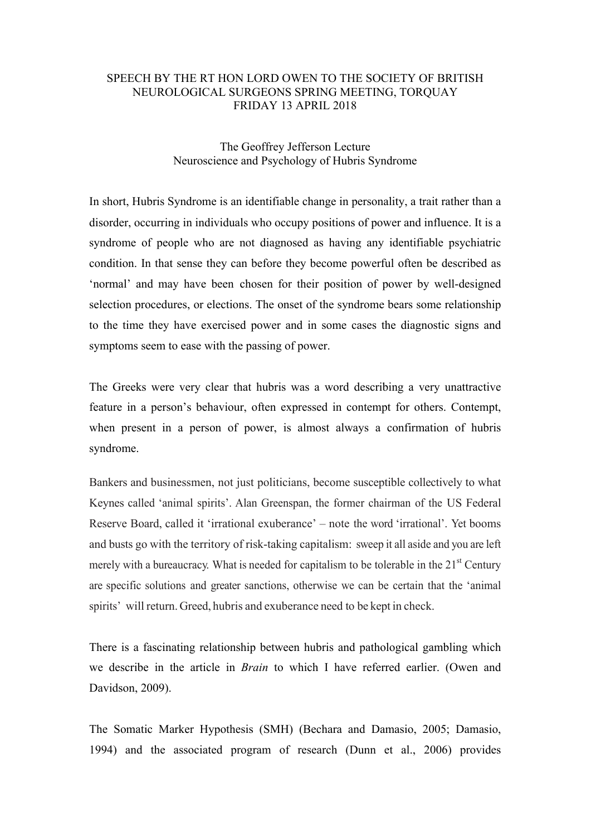## SPEECH BY THE RT HON LORD OWEN TO THE SOCIETY OF BRITISH NEUROLOGICAL SURGEONS SPRING MEETING, TORQUAY FRIDAY 13 APRIL 2018

## The Geoffrey Jefferson Lecture Neuroscience and Psychology of Hubris Syndrome

In short, Hubris Syndrome is an identifiable change in personality, a trait rather than a disorder, occurring in individuals who occupy positions of power and influence. It is a syndrome of people who are not diagnosed as having any identifiable psychiatric condition. In that sense they can before they become powerful often be described as 'normal' and may have been chosen for their position of power by well-designed selection procedures, or elections. The onset of the syndrome bears some relationship to the time they have exercised power and in some cases the diagnostic signs and symptoms seem to ease with the passing of power.

The Greeks were very clear that hubris was a word describing a very unattractive feature in a person's behaviour, often expressed in contempt for others. Contempt, when present in a person of power, is almost always a confirmation of hubris syndrome.

Bankers and businessmen, not just politicians, become susceptible collectively to what Keynes called 'animal spirits'. Alan Greenspan, the former chairman of the US Federal Reserve Board, called it 'irrational exuberance' – note the word 'irrational'. Yet booms and busts go with the territory of risk-taking capitalism: sweep it all aside and you are left merely with a bureaucracy. What is needed for capitalism to be tolerable in the  $21<sup>st</sup>$  Century are specific solutions and greater sanctions, otherwise we can be certain that the 'animal spirits' will return. Greed, hubris and exuberance need to be kept in check.

There is a fascinating relationship between hubris and pathological gambling which we describe in the article in *Brain* to which I have referred earlier. (Owen and Davidson, 2009).

The Somatic Marker Hypothesis (SMH) (Bechara and Damasio, 2005; Damasio, 1994) and the associated program of research (Dunn et al., 2006) provides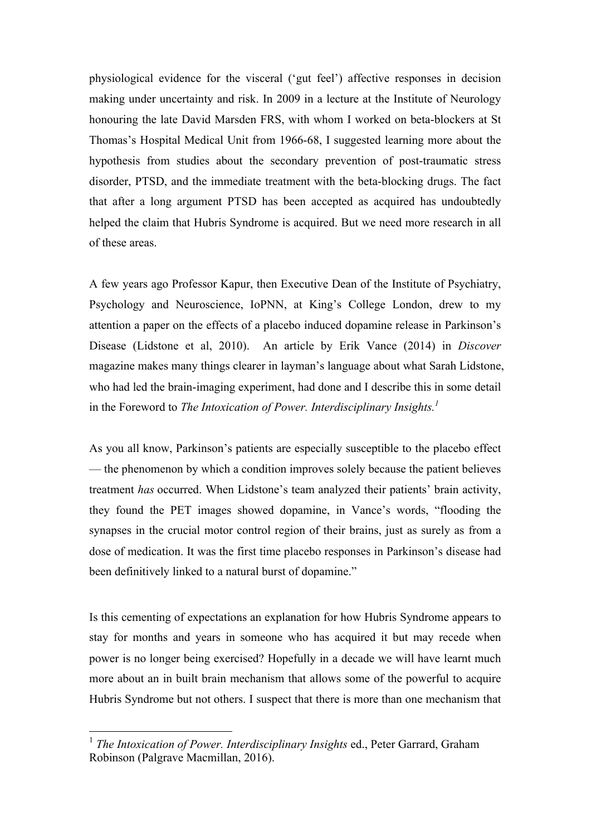physiological evidence for the visceral ('gut feel') affective responses in decision making under uncertainty and risk. In 2009 in a lecture at the Institute of Neurology honouring the late David Marsden FRS, with whom I worked on beta-blockers at St Thomas's Hospital Medical Unit from 1966-68, I suggested learning more about the hypothesis from studies about the secondary prevention of post-traumatic stress disorder, PTSD, and the immediate treatment with the beta-blocking drugs. The fact that after a long argument PTSD has been accepted as acquired has undoubtedly helped the claim that Hubris Syndrome is acquired. But we need more research in all of these areas.

A few years ago Professor Kapur, then Executive Dean of the Institute of Psychiatry, Psychology and Neuroscience, IoPNN, at King's College London, drew to my attention a paper on the effects of a placebo induced dopamine release in Parkinson's Disease (Lidstone et al, 2010). An article by Erik Vance (2014) in *Discover* magazine makes many things clearer in layman's language about what Sarah Lidstone, who had led the brain-imaging experiment, had done and I describe this in some detail in the Foreword to *The Intoxication of Power. Interdisciplinary Insights.*<sup>1</sup>

As you all know, Parkinson's patients are especially susceptible to the placebo effect — the phenomenon by which a condition improves solely because the patient believes treatment *has* occurred. When Lidstone's team analyzed their patients' brain activity, they found the PET images showed dopamine, in Vance's words, "flooding the synapses in the crucial motor control region of their brains, just as surely as from a dose of medication. It was the first time placebo responses in Parkinson's disease had been definitively linked to a natural burst of dopamine."

Is this cementing of expectations an explanation for how Hubris Syndrome appears to stay for months and years in someone who has acquired it but may recede when power is no longer being exercised? Hopefully in a decade we will have learnt much more about an in built brain mechanism that allows some of the powerful to acquire Hubris Syndrome but not others. I suspect that there is more than one mechanism that

<sup>&</sup>lt;sup>1</sup> *The Intoxication of Power. Interdisciplinary Insights* ed., Peter Garrard, Graham Robinson (Palgrave Macmillan, 2016).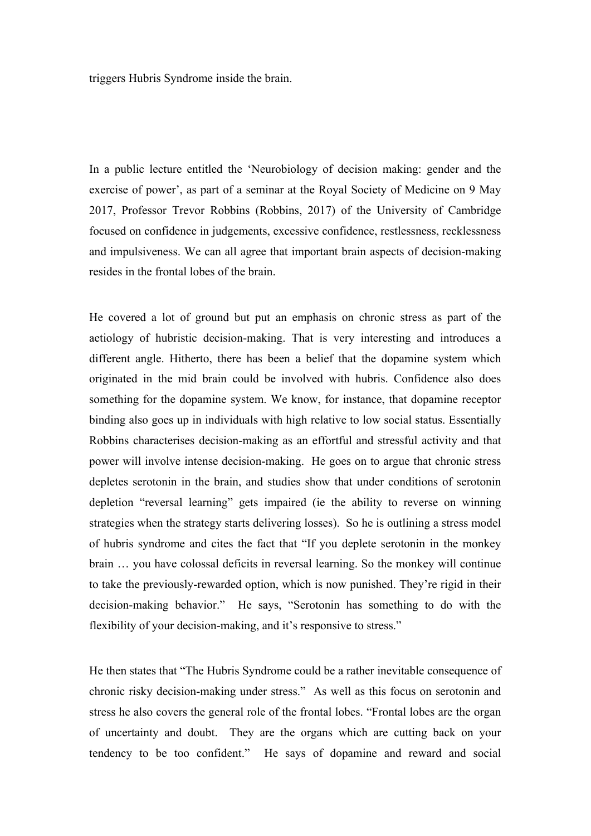triggers Hubris Syndrome inside the brain.

In a public lecture entitled the 'Neurobiology of decision making: gender and the exercise of power', as part of a seminar at the Royal Society of Medicine on 9 May 2017, Professor Trevor Robbins (Robbins, 2017) of the University of Cambridge focused on confidence in judgements, excessive confidence, restlessness, recklessness and impulsiveness. We can all agree that important brain aspects of decision-making resides in the frontal lobes of the brain.

He covered a lot of ground but put an emphasis on chronic stress as part of the aetiology of hubristic decision-making. That is very interesting and introduces a different angle. Hitherto, there has been a belief that the dopamine system which originated in the mid brain could be involved with hubris. Confidence also does something for the dopamine system. We know, for instance, that dopamine receptor binding also goes up in individuals with high relative to low social status. Essentially Robbins characterises decision-making as an effortful and stressful activity and that power will involve intense decision-making. He goes on to argue that chronic stress depletes serotonin in the brain, and studies show that under conditions of serotonin depletion "reversal learning" gets impaired (ie the ability to reverse on winning strategies when the strategy starts delivering losses). So he is outlining a stress model of hubris syndrome and cites the fact that "If you deplete serotonin in the monkey brain … you have colossal deficits in reversal learning. So the monkey will continue to take the previously-rewarded option, which is now punished. They're rigid in their decision-making behavior." He says, "Serotonin has something to do with the flexibility of your decision-making, and it's responsive to stress."

He then states that "The Hubris Syndrome could be a rather inevitable consequence of chronic risky decision-making under stress." As well as this focus on serotonin and stress he also covers the general role of the frontal lobes. "Frontal lobes are the organ of uncertainty and doubt. They are the organs which are cutting back on your tendency to be too confident." He says of dopamine and reward and social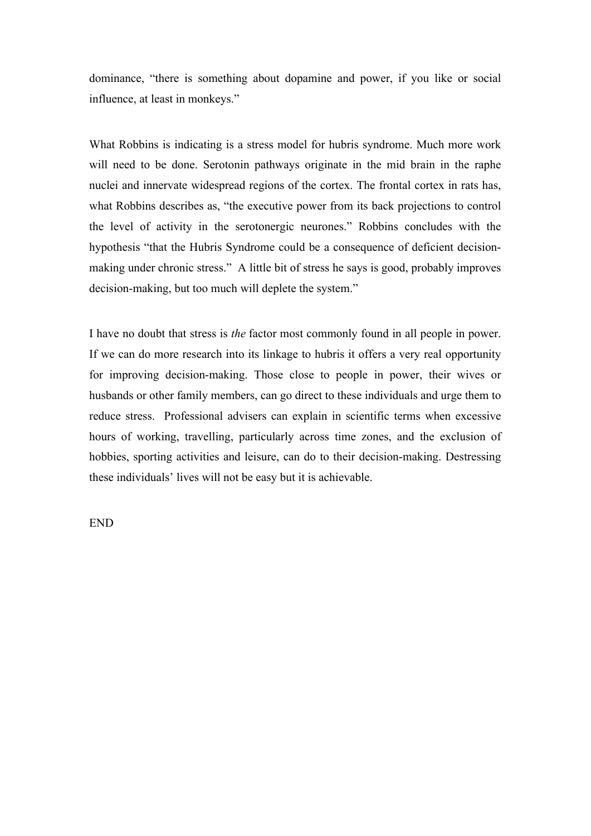dominance, "there is something about dopamine and power, if you like or social influence, at least in monkeys."

What Robbins is indicating is a stress model for hubris syndrome. Much more work will need to be done. Serotonin pathways originate in the mid brain in the raphe nuclei and innervate widespread regions of the cortex. The frontal cortex in rats has, what Robbins describes as, "the executive power from its back projections to control the level of activity in the serotonergic neurones." Robbins concludes with the hypothesis "that the Hubris Syndrome could be a consequence of deficient decisionmaking under chronic stress." A little bit of stress he says is good, probably improves decision-making, but too much will deplete the system."

I have no doubt that stress is *the* factor most commonly found in all people in power. If we can do more research into its linkage to hubris it offers a very real opportunity for improving decision-making. Those close to people in power, their wives or husbands or other family members, can go direct to these individuals and urge them to reduce stress. Professional advisers can explain in scientific terms when excessive hours of working, travelling, particularly across time zones, and the exclusion of hobbies, sporting activities and leisure, can do to their decision-making. Destressing these individuals' lives will not be easy but it is achievable.

END